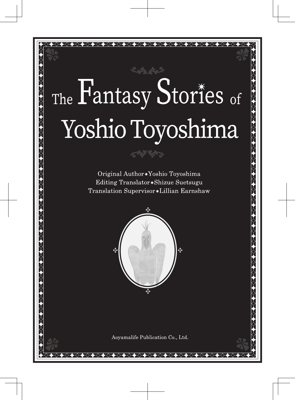## The Fantasy Stories of Yoshio Toyoshima

◆◇◆◇◆◇◆◇◆◇◆◇◆◇◆◇◆◇◆◇◆◇◆◇◆◇◆◇◆◇

Original Author\*Yoshio Toyoshima Editing Translator\*Shizue Suetsugu Translation Supervisor \*Lillian Earnshaw

بمنارخته



Aovamalife Publication Co., Ltd.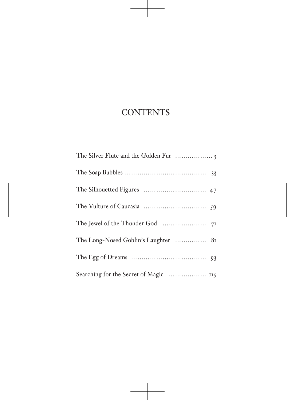## **CONTENTS**

| The Long-Nosed Goblin's Laughter  81 |  |
|--------------------------------------|--|
|                                      |  |
|                                      |  |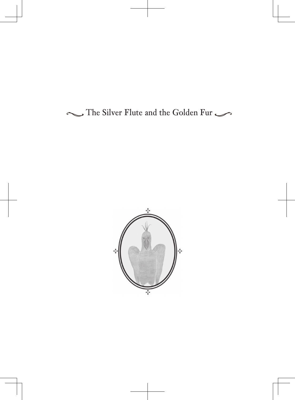The Silver Flute and the Golden Fur

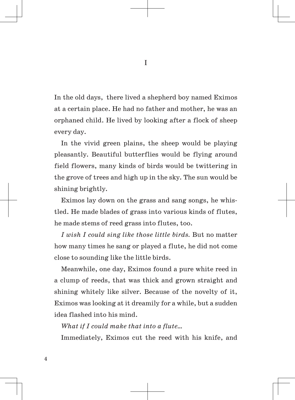In the old days, there lived a shepherd boy named Eximos at a certain place. He had no father and mother, he was an orphaned child. He lived by looking after a flock of sheep every day.

In the vivid green plains, the sheep would be playing pleasantly. Beautiful butterflies would be flying around field flowers, many kinds of birds would be twittering in the grove of trees and high up in the sky. The sun would be shining brightly.

Eximos lay down on the grass and sang songs, he whistled. He made blades of grass into various kinds of flutes, he made stems of reed grass into flutes, too.

*I wish I could sing like those little birds.* But no matter how many times he sang or played a flute, he did not come close to sounding like the little birds.

Meanwhile, one day, Eximos found a pure white reed in a clump of reeds, that was thick and grown straight and shining whitely like silver. Because of the novelty of it, Eximos was looking at it dreamily for a while, but a sudden idea flashed into his mind.

*What if I could make that into a flute…*

Immediately, Eximos cut the reed with his knife, and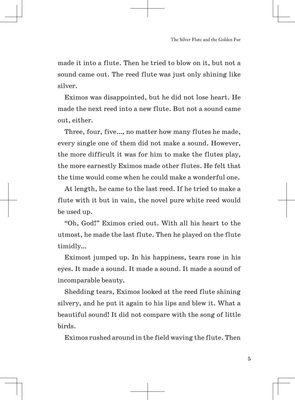made it into a flute. Then he tried to blow on it, but not a sound came out. The reed flute was just only shining like silver.

Eximos was disappointed, but he did not lose heart. He made the next reed into a new flute. But not a sound came out, either.

Three, four, five…, no matter how many flutes he made, every single one of them did not make a sound. However, the more difficult it was for him to make the flutes play, the more earnestly Eximos made other flutes. He felt that the time would come when he could make a wonderful one.

At length, he came to the last reed. If he tried to make a flute with it but in vain, the novel pure white reed would be used up.

"Oh, God!" Eximos cried out. With all his heart to the utmost, he made the last flute. Then he played on the flute timidly…

Eximost jumped up. In his happiness, tears rose in his eyes. It made a sound. It made a sound. It made a sound of incomparable beauty.

Shedding tears, Eximos looked at the reed flute shining silvery, and he put it again to his lips and blew it. What a beautiful sound! It did not compare with the song of little birds.

Eximos rushed around in the field waving the flute. Then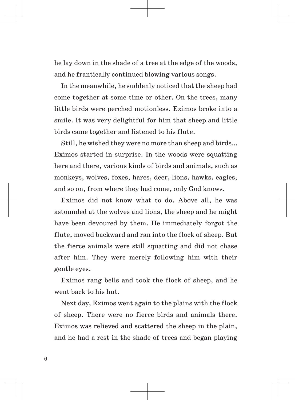he lay down in the shade of a tree at the edge of the woods, and he frantically continued blowing various songs.

In the meanwhile, he suddenly noticed that the sheep had come together at some time or other. On the trees, many little birds were perched motionless. Eximos broke into a smile. It was very delightful for him that sheep and little birds came together and listened to his flute.

Still, he wished they were no more than sheep and birds… Eximos started in surprise. In the woods were squatting here and there, various kinds of birds and animals, such as monkeys, wolves, foxes, hares, deer, lions, hawks, eagles, and so on, from where they had come, only God knows.

Eximos did not know what to do. Above all, he was astounded at the wolves and lions, the sheep and he might have been devoured by them. He immediately forgot the flute, moved backward and ran into the flock of sheep. But the fierce animals were still squatting and did not chase after him. They were merely following him with their gentle eyes.

Eximos rang bells and took the flock of sheep, and he went back to his hut.

Next day, Eximos went again to the plains with the flock of sheep. There were no fierce birds and animals there. Eximos was relieved and scattered the sheep in the plain, and he had a rest in the shade of trees and began playing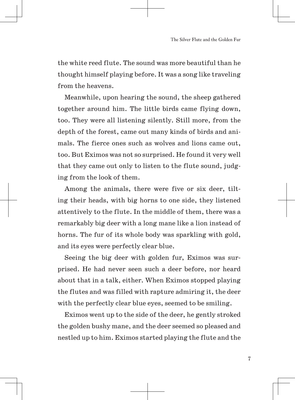the white reed flute. The sound was more beautiful than he thought himself playing before. It was a song like traveling from the heavens.

Meanwhile, upon hearing the sound, the sheep gathered together around him. The little birds came flying down, too. They were all listening silently. Still more, from the depth of the forest, came out many kinds of birds and animals. The fierce ones such as wolves and lions came out, too. But Eximos was not so surprised. He found it very well that they came out only to listen to the flute sound, judging from the look of them.

Among the animals, there were five or six deer, tilting their heads, with big horns to one side, they listened attentively to the flute. In the middle of them, there was a remarkably big deer with a long mane like a lion instead of horns. The fur of its whole body was sparkling with gold, and its eyes were perfectly clear blue.

Seeing the big deer with golden fur, Eximos was surprised. He had never seen such a deer before, nor heard about that in a talk, either. When Eximos stopped playing the flutes and was filled with rapture admiring it, the deer with the perfectly clear blue eyes, seemed to be smiling.

Eximos went up to the side of the deer, he gently stroked the golden bushy mane, and the deer seemed so pleased and nestled up to him. Eximos started playing the flute and the